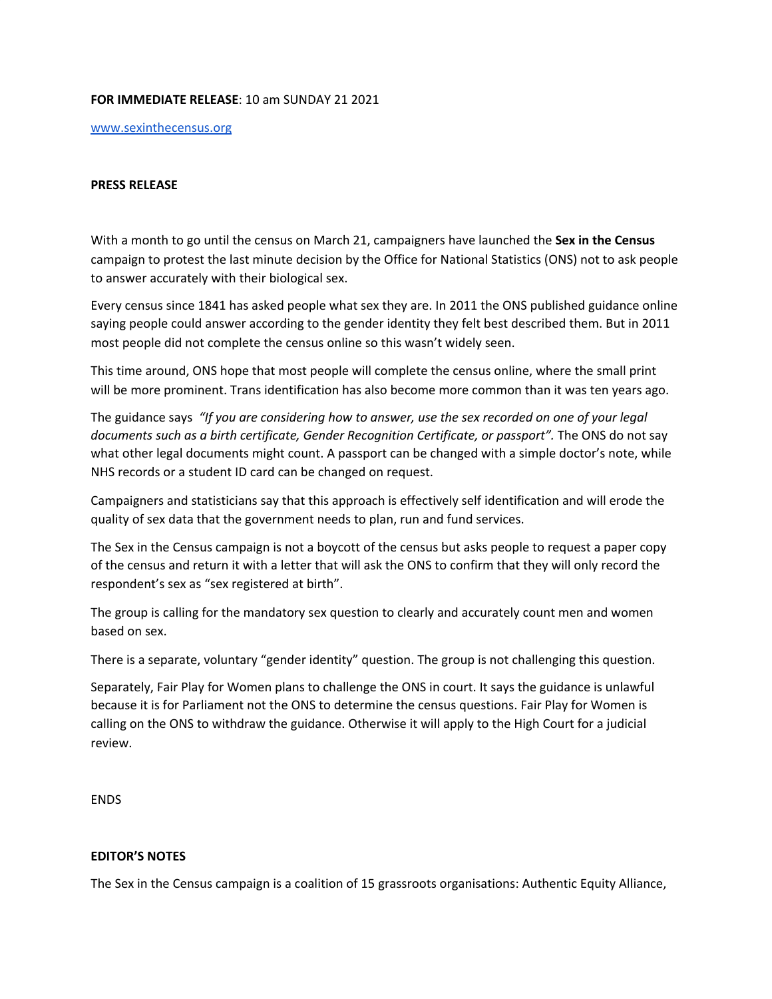## **FOR IMMEDIATE RELEASE**: 10 am SUNDAY 21 2021

[www.sexinthecensus.org](http://www.sexinthecensus.org/)

## **PRESS RELEASE**

With a month to go until the census on March 21, campaigners have launched the **Sex in the Census** campaign to protest the last minute decision by the Office for National Statistics (ONS) not to ask people to answer accurately with their biological sex.

Every census since 1841 has asked people what sex they are. In 2011 the ONS published guidance online saying people could answer according to the gender identity they felt best described them. But in 2011 most people did not complete the census online so this wasn't widely seen.

This time around, ONS hope that most people will complete the census online, where the small print will be more prominent. Trans identification has also become more common than it was ten years ago.

The guidance says *"If you are considering how to answer, use the sex recorded on one of your legal documents such as a birth certificate, Gender Recognition Certificate, or passport".* The ONS do not say what other legal documents might count. A passport can be changed with a simple doctor's note, while NHS records or a student ID card can be changed on request.

Campaigners and statisticians say that this approach is effectively self identification and will erode the quality of sex data that the government needs to plan, run and fund services.

The Sex in the Census campaign is not a boycott of the census but asks people to request a paper copy of the census and return it with a letter that will ask the ONS to confirm that they will only record the respondent's sex as "sex registered at birth".

The group is calling for the mandatory sex question to clearly and accurately count men and women based on sex.

There is a separate, voluntary "gender identity" question. The group is not challenging this question.

Separately, Fair Play for Women plans to challenge the ONS in court. It says the guidance is unlawful because it is for Parliament not the ONS to determine the census questions. Fair Play for Women is calling on the ONS to withdraw the guidance. Otherwise it will apply to the High Court for a judicial review.

ENDS

## **EDITOR'S NOTES**

The Sex in the Census campaign is a coalition of 15 grassroots organisations: Authentic Equity Alliance,